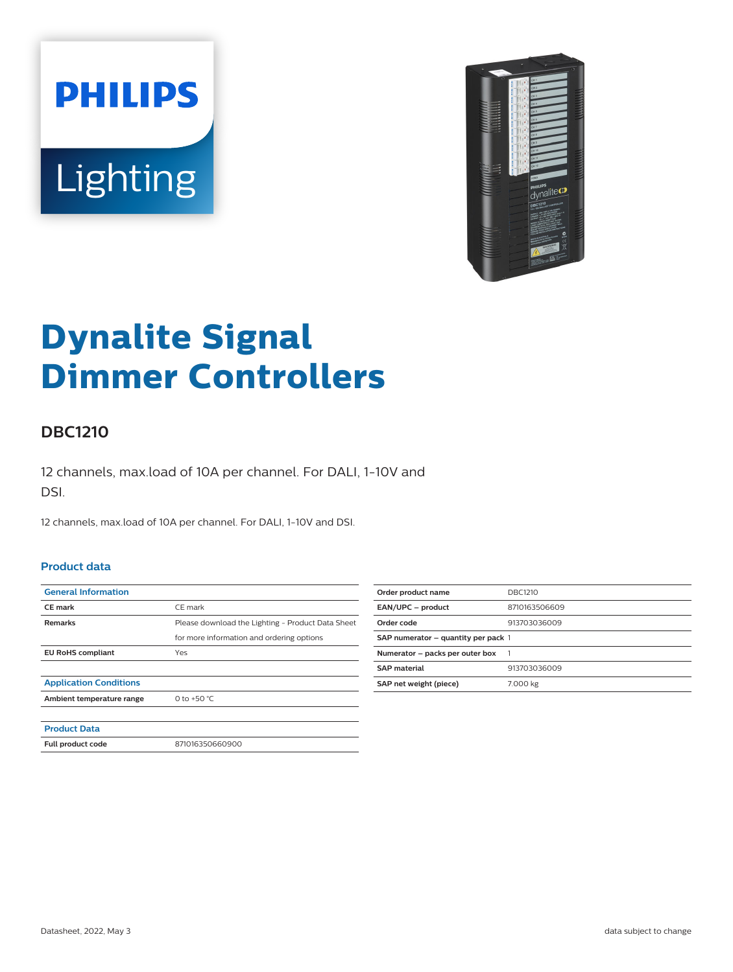



# **Dynalite Signal Dimmer Controllers**

## **DBC1210**

12 channels, max.load of 10A per channel. For DALI, 1-10V and DSI.

12 channels, max.load of 10A per channel. For DALI, 1-10V and DSI.

#### **Product data**

| <b>General Information</b>    |                                                   |
|-------------------------------|---------------------------------------------------|
| <b>CE</b> mark                | CE mark                                           |
| <b>Remarks</b>                | Please download the Lighting - Product Data Sheet |
|                               | for more information and ordering options         |
| <b>EU RoHS compliant</b>      | Yes                                               |
|                               |                                                   |
| <b>Application Conditions</b> |                                                   |
| Ambient temperature range     | 0 to +50 $^{\circ}$ C                             |
|                               |                                                   |
| <b>Product Data</b>           |                                                   |
| Full product code             | 871016350660900                                   |

| Order product name                  | DBC1210       |
|-------------------------------------|---------------|
| EAN/UPC - product                   | 8710163506609 |
| Order code                          | 913703036009  |
| SAP numerator – quantity per pack 1 |               |
| Numerator - packs per outer box     |               |
| <b>SAP</b> material                 | 913703036009  |
| SAP net weight (piece)              | 7.000 kg      |